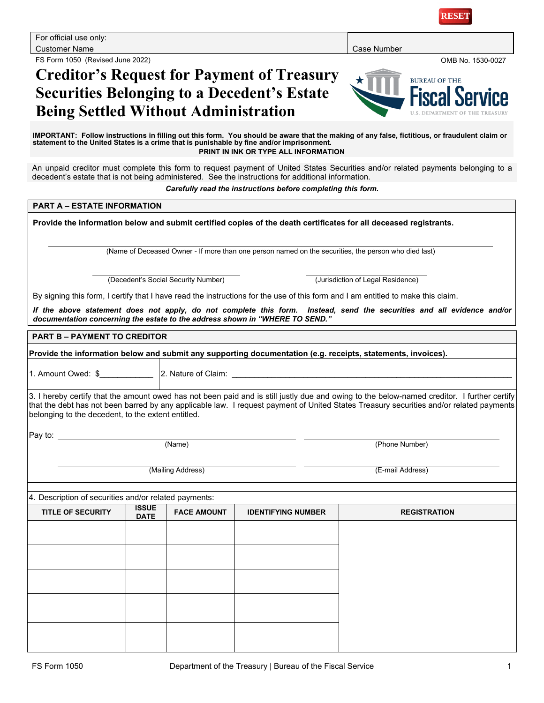FS Form 1050 (Revised June 2022) OMB No. 1530-0027

**RESE** 

# **Creditor's Request for Payment of Treasury Securities Belonging to a Decedent's Estate Being Settled Without Administration**



**IMPORTANT: Follow instructions in filling out this form. You should be aware that the making of any false, fictitious, or fraudulent claim or statement to the United States is a crime that is punishable by fine and/or imprisonment. PRINT IN INK OR TYPE ALL INFORMATION**

An unpaid creditor must complete this form to request payment of United States Securities and/or related payments belonging to a decedent's estate that is not being administered. See the instructions for additional information.

*Carefully read the instructions before completing this form.*

### **PART A – ESTATE INFORMATION**

**Provide the information below and submit certified copies of the death certificates for all deceased registrants.**

(Name of Deceased Owner - If more than one person named on the securities, the person who died last)

(Decedent's Social Security Number) (Jurisdiction of Legal Residence)

By signing this form, I certify that I have read the instructions for the use of this form and I am entitled to make this claim.

*If the above statement does not apply, do not complete this form. Instead, send the securities and all evidence and/or documentation concerning the estate to the address shown in "WHERE TO SEND."*

#### **PART B – PAYMENT TO CREDITOR**

**Provide the information below and submit any supporting documentation (e.g. receipts, statements, invoices).**

1. Amount Owed: \$ 2. Nature of Claim:

3. I hereby certify that the amount owed has not been paid and is still justly due and owing to the below-named creditor. I further certify that the debt has not been barred by any applicable law. I request payment of United States Treasury securities and/or related payments belonging to the decedent, to the extent entitled.

Pay to:

(Name) (Phone Number)

(Mailing Address) (E-mail Address)

#### 4. Description of securities and/or related payments:

| . .                      |                             | . .                |                           |                     |
|--------------------------|-----------------------------|--------------------|---------------------------|---------------------|
| <b>TITLE OF SECURITY</b> | <b>ISSUE</b><br><b>DATE</b> | <b>FACE AMOUNT</b> | <b>IDENTIFYING NUMBER</b> | <b>REGISTRATION</b> |
|                          |                             |                    |                           |                     |
|                          |                             |                    |                           |                     |
|                          |                             |                    |                           |                     |
|                          |                             |                    |                           |                     |
|                          |                             |                    |                           |                     |
|                          |                             |                    |                           |                     |
|                          |                             |                    |                           |                     |
|                          |                             |                    |                           |                     |
|                          |                             |                    |                           |                     |
|                          |                             |                    |                           |                     |
|                          |                             |                    |                           |                     |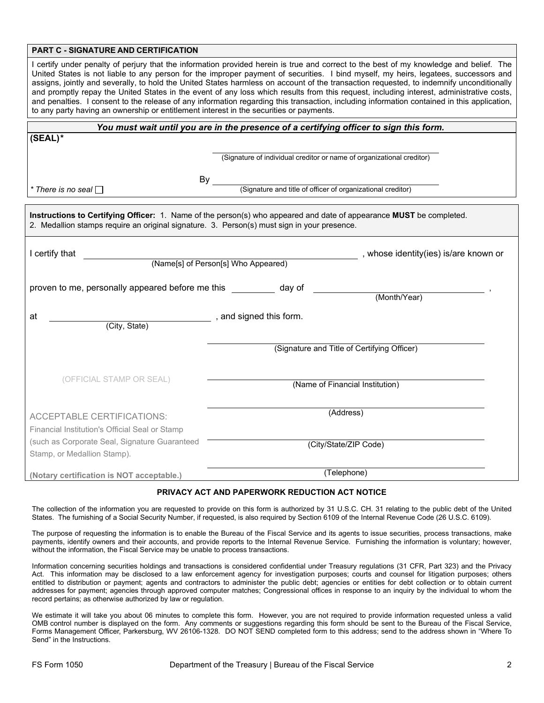### **PART C - SIGNATURE AND CERTIFICATION**

I certify under penalty of perjury that the information provided herein is true and correct to the best of my knowledge and belief. The United States is not liable to any person for the improper payment of securities. I bind myself, my heirs, legatees, successors and assigns, jointly and severally, to hold the United States harmless on account of the transaction requested, to indemnify unconditionally and promptly repay the United States in the event of any loss which results from this request, including interest, administrative costs, and penalties. I consent to the release of any information regarding this transaction, including information contained in this application, to any party having an ownership or entitlement interest in the securities or payments.

| You must wait until you are in the presence of a certifying officer to sign this form.      |                                                                                                                     |  |  |  |
|---------------------------------------------------------------------------------------------|---------------------------------------------------------------------------------------------------------------------|--|--|--|
| $(SEAL)^*$                                                                                  |                                                                                                                     |  |  |  |
|                                                                                             |                                                                                                                     |  |  |  |
|                                                                                             | (Signature of individual creditor or name of organizational creditor)                                               |  |  |  |
|                                                                                             |                                                                                                                     |  |  |  |
| $^\star$ There is no seal $\Box$                                                            | By<br>(Signature and title of officer of organizational creditor)                                                   |  |  |  |
|                                                                                             |                                                                                                                     |  |  |  |
|                                                                                             | Instructions to Certifying Officer: 1. Name of the person(s) who appeared and date of appearance MUST be completed. |  |  |  |
| 2. Medallion stamps require an original signature. 3. Person(s) must sign in your presence. |                                                                                                                     |  |  |  |
|                                                                                             |                                                                                                                     |  |  |  |
| I certify that                                                                              | , whose identity(ies) is/are known or                                                                               |  |  |  |
|                                                                                             | (Name[s] of Person[s] Who Appeared)                                                                                 |  |  |  |
|                                                                                             |                                                                                                                     |  |  |  |
| proven to me, personally appeared before me this                                            | day of<br>(Month/Year)                                                                                              |  |  |  |
|                                                                                             |                                                                                                                     |  |  |  |
| , and signed this form.<br>at                                                               |                                                                                                                     |  |  |  |
| (City, State)                                                                               |                                                                                                                     |  |  |  |
|                                                                                             | (Signature and Title of Certifying Officer)                                                                         |  |  |  |
|                                                                                             |                                                                                                                     |  |  |  |
|                                                                                             |                                                                                                                     |  |  |  |
| (OFFICIAL STAMP OR SEAL)                                                                    | (Name of Financial Institution)                                                                                     |  |  |  |
|                                                                                             |                                                                                                                     |  |  |  |
|                                                                                             |                                                                                                                     |  |  |  |
| <b>ACCEPTABLE CERTIFICATIONS:</b>                                                           | (Address)                                                                                                           |  |  |  |
| Financial Institution's Official Seal or Stamp                                              |                                                                                                                     |  |  |  |
| (such as Corporate Seal, Signature Guaranteed                                               | (City/State/ZIP Code)                                                                                               |  |  |  |
| Stamp, or Medallion Stamp).                                                                 |                                                                                                                     |  |  |  |
|                                                                                             |                                                                                                                     |  |  |  |
| (Notary certification is NOT acceptable.)                                                   | (Telephone)                                                                                                         |  |  |  |

### **PRIVACY ACT AND PAPERWORK REDUCTION ACT NOTICE**

The collection of the information you are requested to provide on this form is authorized by 31 U.S.C. CH. 31 relating to the public debt of the United States. The furnishing of a Social Security Number, if requested, is also required by Section 6109 of the Internal Revenue Code (26 U.S.C. 6109).

The purpose of requesting the information is to enable the Bureau of the Fiscal Service and its agents to issue securities, process transactions, make payments, identify owners and their accounts, and provide reports to the Internal Revenue Service. Furnishing the information is voluntary; however, without the information, the Fiscal Service may be unable to process transactions.

Information concerning securities holdings and transactions is considered confidential under Treasury regulations (31 CFR, Part 323) and the Privacy Act. This information may be disclosed to a law enforcement agency for investigation purposes; courts and counsel for litigation purposes; others entitled to distribution or payment; agents and contractors to administer the public debt; agencies or entities for debt collection or to obtain current addresses for payment; agencies through approved computer matches; Congressional offices in response to an inquiry by the individual to whom the record pertains; as otherwise authorized by law or regulation.

We estimate it will take you about 06 minutes to complete this form. However, you are not required to provide information requested unless a valid OMB control number is displayed on the form. Any comments or suggestions regarding this form should be sent to the Bureau of the Fiscal Service, Forms Management Officer, Parkersburg, WV 26106-1328. DO NOT SEND completed form to this address; send to the address shown in "Where To Send" in the Instructions.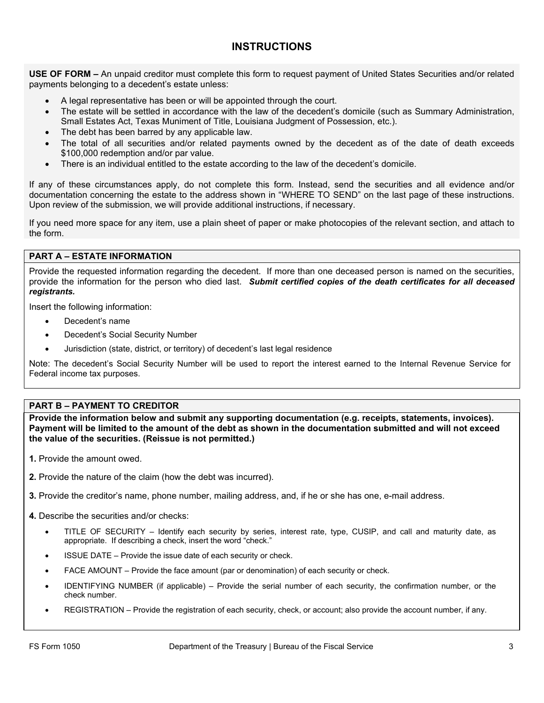# **INSTRUCTIONS**

**USE OF FORM –** An unpaid creditor must complete this form to request payment of United States Securities and/or related payments belonging to a decedent's estate unless:

- A legal representative has been or will be appointed through the court.
- The estate will be settled in accordance with the law of the decedent's domicile (such as Summary Administration, Small Estates Act, Texas Muniment of Title, Louisiana Judgment of Possession, etc.).
- The debt has been barred by any applicable law.
- The total of all securities and/or related payments owned by the decedent as of the date of death exceeds \$100,000 redemption and/or par value.
- There is an individual entitled to the estate according to the law of the decedent's domicile.

If any of these circumstances apply, do not complete this form. Instead, send the securities and all evidence and/or documentation concerning the estate to the address shown in "WHERE TO SEND" on the last page of these instructions. Upon review of the submission, we will provide additional instructions, if necessary.

If you need more space for any item, use a plain sheet of paper or make photocopies of the relevant section, and attach to the form.

### **PART A – ESTATE INFORMATION**

Provide the requested information regarding the decedent. If more than one deceased person is named on the securities, provide the information for the person who died last. *Submit certified copies of the death certificates for all deceased registrants.*

Insert the following information:

- Decedent's name
- Decedent's Social Security Number
- Jurisdiction (state, district, or territory) of decedent's last legal residence

Note: The decedent's Social Security Number will be used to report the interest earned to the Internal Revenue Service for Federal income tax purposes.

### **PART B – PAYMENT TO CREDITOR**

**Provide the information below and submit any supporting documentation (e.g. receipts, statements, invoices). Payment will be limited to the amount of the debt as shown in the documentation submitted and will not exceed the value of the securities. (Reissue is not permitted.)**

- **1.** Provide the amount owed.
- **2.** Provide the nature of the claim (how the debt was incurred).
- **3.** Provide the creditor's name, phone number, mailing address, and, if he or she has one, e-mail address.
- **4.** Describe the securities and/or checks:
	- TITLE OF SECURITY Identify each security by series, interest rate, type, CUSIP, and call and maturity date, as appropriate. If describing a check, insert the word "check."
	- ISSUE DATE Provide the issue date of each security or check.
	- FACE AMOUNT Provide the face amount (par or denomination) of each security or check.
	- IDENTIFYING NUMBER (if applicable) Provide the serial number of each security, the confirmation number, or the check number.
	- REGISTRATION Provide the registration of each security, check, or account; also provide the account number, if any.